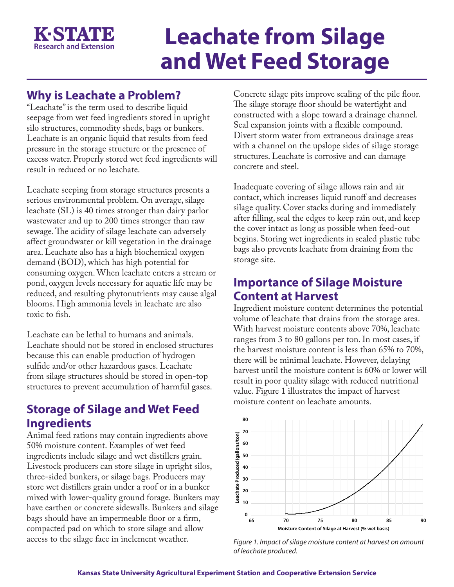

# **Leachate from Silage and Wet Feed Storage**

### **Why is Leachate a Problem?**

"Leachate" is the term used to describe liquid seepage from wet feed ingredients stored in upright silo structures, commodity sheds, bags or bunkers. Leachate is an organic liquid that results from feed pressure in the storage structure or the presence of excess water. Properly stored wet feed ingredients will result in reduced or no leachate.

Leachate seeping from storage structures presents a serious environmental problem. On average, silage leachate (SL) is 40 times stronger than dairy parlor wastewater and up to 200 times stronger than raw sewage. The acidity of silage leachate can adversely affect groundwater or kill vegetation in the drainage area. Leachate also has a high biochemical oxygen demand (BOD), which has high potential for consuming oxygen. When leachate enters a stream or pond, oxygen levels necessary for aquatic life may be reduced, and resulting phytonutrients may cause algal blooms. High ammonia levels in leachate are also toxic to fish.

Leachate can be lethal to humans and animals. Leachate should not be stored in enclosed structures because this can enable production of hydrogen sulfide and/or other hazardous gases. Leachate from silage structures should be stored in open-top structures to prevent accumulation of harmful gases.

#### **Storage of Silage and Wet Feed Ingredients**

Animal feed rations may contain ingredients above 50% moisture content. Examples of wet feed ingredients include silage and wet distillers grain. Livestock producers can store silage in upright silos, three-sided bunkers, or silage bags. Producers may store wet distillers grain under a roof or in a bunker mixed with lower-quality ground forage. Bunkers may have earthen or concrete sidewalls. Bunkers and silage bags should have an impermeable floor or a firm, compacted pad on which to store silage and allow access to the silage face in inclement weather.

Concrete silage pits improve sealing of the pile floor. The silage storage floor should be watertight and constructed with a slope toward a drainage channel. Seal expansion joints with a flexible compound. Divert storm water from extraneous drainage areas with a channel on the upslope sides of silage storage structures. Leachate is corrosive and can damage concrete and steel.

Inadequate covering of silage allows rain and air contact, which increases liquid runoff and decreases silage quality. Cover stacks during and immediately after filling, seal the edges to keep rain out, and keep the cover intact as long as possible when feed-out begins. Storing wet ingredients in sealed plastic tube bags also prevents leachate from draining from the storage site.

#### **Importance of Silage Moisture Content at Harvest**

Ingredient moisture content determines the potential volume of leachate that drains from the storage area. With harvest moisture contents above 70%, leachate ranges from 3 to 80 gallons per ton. In most cases, if the harvest moisture content is less than 65% to 70%, there will be minimal leachate. However, delaying harvest until the moisture content is 60% or lower will result in poor quality silage with reduced nutritional value. Figure 1 illustrates the impact of harvest moisture content on leachate amounts.



*Figure 1. Impact of silage moisture content at harvest on amount of leachate produced.*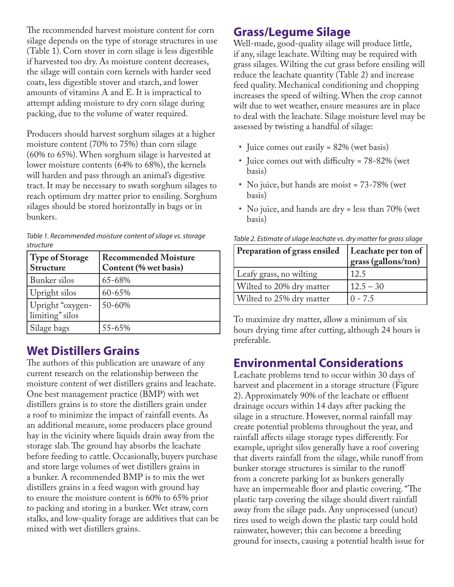The recommended harvest moisture content for corn silage depends on the type of storage structures in use (Table 1). Corn stover in corn silage is less digestible if harvested too dry. As moisture content decreases, the silage will contain corn kernels with harder seed coats, less digestible stover and starch, and lower amounts of vitamins A and E. It is impractical to attempt adding moisture to dry corn silage during packing, due to the volume of water required.

Producers should harvest sorghum silages at a higher moisture content (70% to 75%) than corn silage (60% to 65%). When sorghum silage is harvested at lower moisture contents (64% to 68%), the kernels will harden and pass through an animal's digestive tract. It may be necessary to swath sorghum silages to reach optimum dry matter prior to ensiling. Sorghum silages should be stored horizontally in bags or in bunkers.

| Table 1. Recommended moisture content of silage vs. storage |
|-------------------------------------------------------------|
| structure                                                   |

| Type of Storage<br><b>Structure</b> | <b>Recommended Moisture</b><br>Content (% wet basis) |
|-------------------------------------|------------------------------------------------------|
| Bunker silos                        | 65-68%                                               |
| Upright silos                       | 60-65%                                               |
| Upright "oxygen-<br>limiting" silos | 50-60%                                               |
| Silage bags                         | 55-65%                                               |

#### **Wet Distillers Grains**

The authors of this publication are unaware of any current research on the relationship between the moisture content of wet distillers grains and leachate. One best management practice (BMP) with wet distillers grains is to store the distillers grain under a roof to minimize the impact of rainfall events. As an additional measure, some producers place ground hay in the vicinity where liquids drain away from the storage slab. The ground hay absorbs the leachate before feeding to cattle. Occasionally, buyers purchase and store large volumes of wet distillers grains in a bunker. A recommended BMP is to mix the wet distillers grains in a feed wagon with ground hay to ensure the moisture content is 60% to 65% prior to packing and storing in a bunker. Wet straw, corn stalks, and low-quality forage are additives that can be mixed with wet distillers grains.

#### **Grass/Legume Silage**

Well-made, good-quality silage will produce little, if any, silage leachate. Wilting may be required with grass silages. Wilting the cut grass before ensiling will reduce the leachate quantity (Table 2) and increase feed quality. Mechanical conditioning and chopping increases the speed of wilting. When the crop cannot wilt due to wet weather, ensure measures are in place to deal with the leachate. Silage moisture level may be assessed by twisting a handful of silage:

- Juice comes out easily = 82% (wet basis)
- Juice comes out with difficulty = 78-82% (wet basis)
- No juice, but hands are moist = 73-78% (wet basis)
- No juice, and hands are dry = less than 70% (wet basis)

| Leachate per ton of<br>grass (gallons/ton) |  |  |
|--------------------------------------------|--|--|
| 12.5                                       |  |  |
| $12.5 - 30$                                |  |  |
| $0 - 7.5$                                  |  |  |
|                                            |  |  |

*Table 2. Estimate of silage leachate vs. dry matter for grass silage* 

To maximize dry matter, allow a minimum of six hours drying time after cutting, although 24 hours is preferable.

## **Environmental Considerations**

Leachate problems tend to occur within 30 days of harvest and placement in a storage structure (Figure 2). Approximately 90% of the leachate or effluent drainage occurs within 14 days after packing the silage in a structure. However, normal rainfall may create potential problems throughout the year, and rainfall affects silage storage types differently. For example, upright silos generally have a roof covering that diverts rainfall from the silage, while runoff from bunker storage structures is similar to the runoff from a concrete parking lot as bunkers generally have an impermeable floor and plastic covering. "The plastic tarp covering the silage should divert rainfall away from the silage pads. Any unprocessed (uncut) tires used to weigh down the plastic tarp could hold rainwater, however; this can become a breeding ground for insects, causing a potential health issue for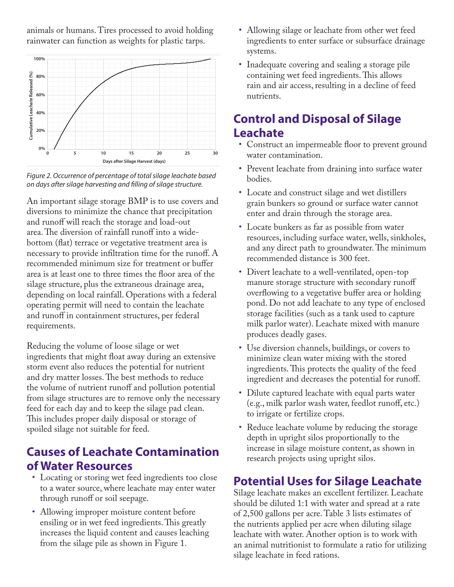animals or humans. Tires processed to avoid holding rainwater can function as weights for plastic tarps.



*Figure 2. Occurrence of percentage of total silage leachate based on days after silage harvesting and filling of silage structure.* 

An important silage storage BMP is to use covers and diversions to minimize the chance that precipitation and runoff will reach the storage and load-out area. The diversion of rainfall runoff into a widebottom (flat) terrace or vegetative treatment area is necessary to provide infiltration time for the runoff. A recommended minimum size for treatment or buffer area is at least one to three times the floor area of the silage structure, plus the extraneous drainage area, depending on local rainfall. Operations with a federal operating permit will need to contain the leachate and runoff in containment structures, per federal requirements.

Reducing the volume of loose silage or wet ingredients that might float away during an extensive storm event also reduces the potential for nutrient and dry matter losses. The best methods to reduce the volume of nutrient runoff and pollution potential from silage structures are to remove only the necessary feed for each day and to keep the silage pad clean. This includes proper daily disposal or storage of spoiled silage not suitable for feed.

#### **Causes of Leachate Contamination of Water Resources**

- Locating or storing wet feed ingredients too close to a water source, where leachate may enter water through runoff or soil seepage.
- Allowing improper moisture content before ensiling or in wet feed ingredients. This greatly increases the liquid content and causes leaching from the silage pile as shown in Figure 1.
- Allowing silage or leachate from other wet feed ingredients to enter surface or subsurface drainage systems.
- Inadequate covering and sealing a storage pile containing wet feed ingredients. This allows rain and air access, resulting in a decline of feed nutrients.

#### **Control and Disposal of Silage Leachate**

- Construct an impermeable floor to prevent ground water contamination.
- Prevent leachate from draining into surface water bodies.
- Locate and construct silage and wet distillers grain bunkers so ground or surface water cannot enter and drain through the storage area.
- Locate bunkers as far as possible from water resources, including surface water, wells, sinkholes, and any direct path to groundwater. The minimum recommended distance is 300 feet.
- Divert leachate to a well-ventilated, open-top manure storage structure with secondary runoff overflowing to a vegetative buffer area or holding pond. Do not add leachate to any type of enclosed storage facilities (such as a tank used to capture milk parlor water). Leachate mixed with manure produces deadly gases.
- Use diversion channels, buildings, or covers to minimize clean water mixing with the stored ingredients. This protects the quality of the feed ingredient and decreases the potential for runoff.
- Dilute captured leachate with equal parts water (e.g., milk parlor wash water, feedlot runoff, etc.) to irrigate or fertilize crops.
- Reduce leachate volume by reducing the storage depth in upright silos proportionally to the increase in silage moisture content, as shown in research projects using upright silos.

# **Potential Uses for Silage Leachate**

Silage leachate makes an excellent fertilizer. Leachate should be diluted 1:1 with water and spread at a rate of 2,500 gallons per acre. Table 3 lists estimates of the nutrients applied per acre when diluting silage leachate with water. Another option is to work with an animal nutritionist to formulate a ratio for utilizing silage leachate in feed rations.